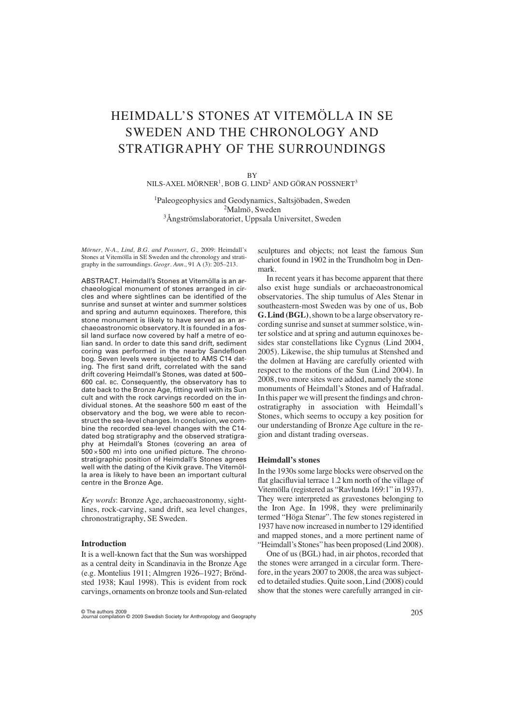# HEIMDALL'S STONES AT VITEMÖLLA IN SE SWEDEN AND THE CHRONOLOGY AND STRATIGRAPHY OF THE SURROUNDINGS

**BY** 

 $NILS-AXEL MÖRNER<sup>1</sup>, BOB G. LIND<sup>2</sup> AND GÖRAN POSSNERT<sup>3</sup>$ 

1 Paleogeophysics and Geodynamics, Saltsjöbaden, Sweden 2Malmö, Sweden 3Ångströmslaboratoriet, Uppsala Universitet, Sweden

*Mörner, N-A., Lind, B.G. and Possnert, G.,* 2009: Heimdall's Stones at Vitemölla in SE Sweden and the chronology and stratigraphy in the surroundings. *Geogr. Ann.,* 91 A (3): 205–213.

ABSTRACT. Heimdall's Stones at Vitemölla is an archaeological monument of stones arranged in circles and where sightlines can be identified of the sunrise and sunset at winter and summer solstices and spring and autumn equinoxes. Therefore, this stone monument is likely to have served as an archaeoastronomic observatory. It is founded in a fossil land surface now covered by half a metre of eolian sand. In order to date this sand drift, sediment coring was performed in the nearby Sandefloen bog. Seven levels were subjected to AMS C14 dating. The first sand drift, correlated with the sand drift covering Heimdall's Stones, was dated at 500– 600 cal. BC. Consequently, the observatory has to date back to the Bronze Age, fitting well with its Sun cult and with the rock carvings recorded on the individual stones. At the seashore 500 m east of the observatory and the bog, we were able to reconstruct the sea-level changes. In conclusion, we combine the recorded sea-level changes with the C14 dated bog stratigraphy and the observed stratigraphy at Heimdall's Stones (covering an area of  $500 \times 500$  m) into one unified picture. The chronostratigraphic position of Heimdall's Stones agrees well with the dating of the Kivik grave. The Vitemölla area is likely to have been an important cultural centre in the Bronze Age.

*Key words*: Bronze Age, archaeoastronomy, sightlines, rock-carving, sand drift, sea level changes, chronostratigraphy, SE Sweden.

#### **Introduction**

It is a well-known fact that the Sun was worshipped as a central deity in Scandinavia in the Bronze Age (e.g. Montelius 1911; Almgren 1926–1927; Bröndsted 1938; Kaul 1998). This is evident from rock carvings, ornaments on bronze tools and Sun-related

sculptures and objects; not least the famous Sun chariot found in 1902 in the Trundholm bog in Denmark.

In recent years it has become apparent that there also exist huge sundials or archaeoastronomical observatories. The ship tumulus of Ales Stenar in southeastern-most Sweden was by one of us, Bob **G. Lind (BGL)**, shown to be a large observatory recording sunrise and sunset at summer solstice, winter solstice and at spring and autumn equinoxes besides star constellations like Cygnus (Lind 2004, 2005). Likewise, the ship tumulus at Stenshed and the dolmen at Haväng are carefully oriented with respect to the motions of the Sun (Lind 2004). In 2008, two more sites were added, namely the stone monuments of Heimdall's Stones and of Hafradal. In this paper we will present the findings and chronostratigraphy in association with Heimdall's Stones, which seems to occupy a key position for our understanding of Bronze Age culture in the region and distant trading overseas.

# **Heimdall's stones**

In the 1930s some large blocks were observed on the flat glacifluvial terrace 1.2 km north of the village of Vitemölla (registered as "Ravlunda 169:1" in 1937). They were interpreted as gravestones belonging to the Iron Age. In 1998, they were preliminarily termed "Höga Stenar". The few stones registered in 1937 have now increased in number to 129 identified and mapped stones, and a more pertinent name of "Heimdall's Stones" has been proposed (Lind 2008).

One of us (BGL) had, in air photos, recorded that the stones were arranged in a circular form. Therefore, in the years 2007 to 2008, the area was subjected to detailed studies. Quite soon, Lind (2008) could show that the stones were carefully arranged in cir-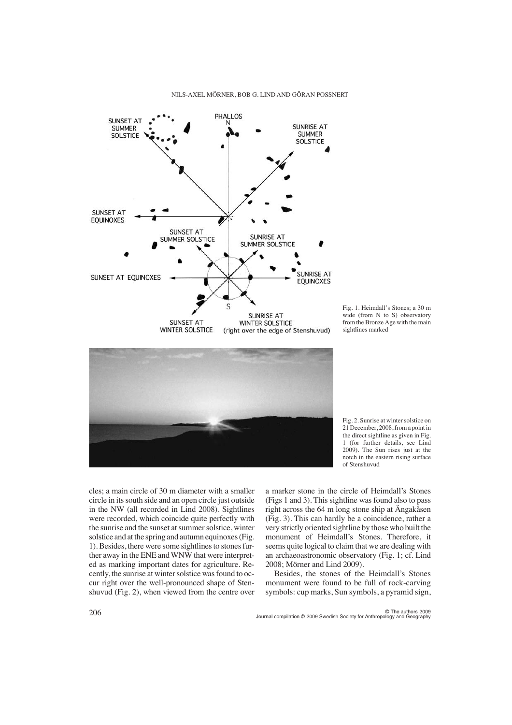

Fig. 1. Heimdall's Stones; a 30 m wide (from N to S) observatory from the Bronze Age with the main sightlines marked





cles; a main circle of 30 m diameter with a smaller circle in its south side and an open circle just outside in the NW (all recorded in Lind 2008). Sightlines were recorded, which coincide quite perfectly with the sunrise and the sunset at summer solstice, winter solstice and at the spring and autumn equinoxes (Fig. 1). Besides, there were some sightlines to stones further away in the ENE and WNW that were interpreted as marking important dates for agriculture. Recently, the sunrise at winter solstice was found to occur right over the well-pronounced shape of Stenshuvud (Fig. 2), when viewed from the centre over

a marker stone in the circle of Heimdall's Stones (Figs 1 and 3). This sightline was found also to pass right across the 64 m long stone ship at Ängakåsen (Fig. 3). This can hardly be a coincidence, rather a very strictly oriented sightline by those who built the monument of Heimdall's Stones. Therefore, it seems quite logical to claim that we are dealing with an archaeoastronomic observatory (Fig. 1; cf. Lind 2008; Mörner and Lind 2009).

Besides, the stones of the Heimdall's Stones monument were found to be full of rock-carving symbols: cup marks, Sun symbols, a pyramid sign,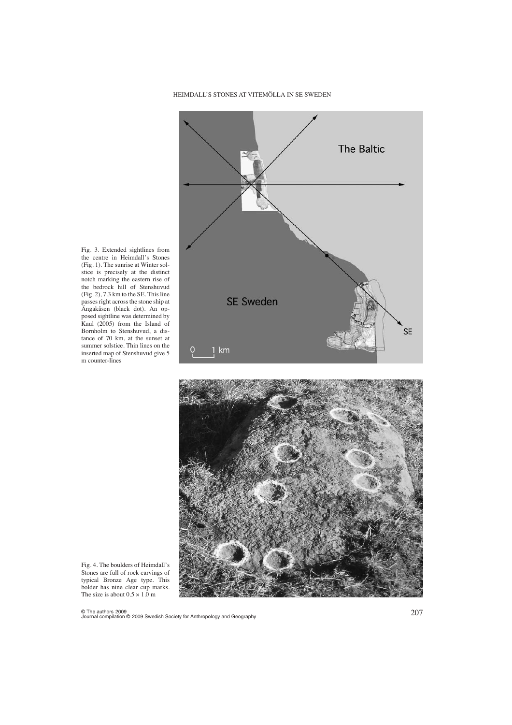



Fig. 3. Extended sightlines from the centre in Heimdall's Stones (Fig. 1). The sunrise at Winter solstice is precisely at the distinct notch marking the eastern rise of the bedrock hill of Stenshuvud (Fig. 2), 7.3 km to the SE. This line passes right across the stone ship at Ängakåsen (black dot). An opposed sightline was determined by Kaul (2005) from the Island of Bornholm to Stenshuvud, a distance of 70 km, at the sunset at summer solstice. Thin lines on the inserted map of Stenshuvud give 5 m counter-lines

Fig. 4. The boulders of Heimdall's Stones are full of rock carvings of typical Bronze Age type. This bolder has nine clear cup marks. The size is about  $0.5 \times 1.0$  m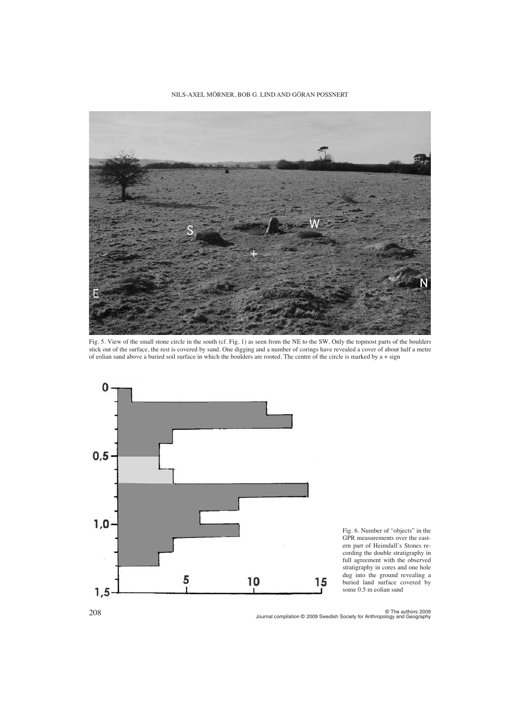

Fig. 5. View of the small stone circle in the south (cf. Fig. 1) as seen from the NE to the SW. Only the topmost parts of the boulders stick out of the surface, the rest is covered by sand. One digging and a number of corings have revealed a cover of about half a metre of eolian sand above a buried soil surface in which the boulders are rooted. The centre of the circle is marked by a + sign



Fig. 6. Number of "objects" in the GPR measurements over the eastern part of Heimdall's Stones recording the double stratigraphy in full agreement with the observed stratigraphy in cores and one hole dug into the ground revealing a buried land surface covered by some 0.5 m eolian sand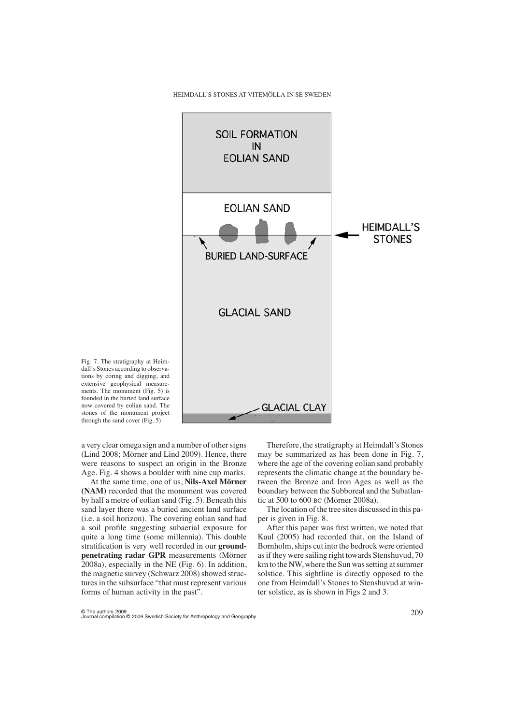

Fig. 7. The stratigraphy at Heimdall's Stones according to observations by coring and digging, and extensive geophysical measurements. The monument (Fig. 5) is founded in the buried land surface now covered by eolian sand. The stones of the monument project through the sand cover (Fig. 5)

a very clear omega sign and a number of other signs (Lind 2008; Mörner and Lind 2009). Hence, there were reasons to suspect an origin in the Bronze Age. Fig. 4 shows a boulder with nine cup marks.

At the same time, one of us, **Nils-Axel Mörner (NAM)** recorded that the monument was covered by half a metre of eolian sand (Fig. 5). Beneath this sand layer there was a buried ancient land surface (i.e. a soil horizon). The covering eolian sand had a soil profile suggesting subaerial exposure for quite a long time (some millennia). This double stratification is very well recorded in our **groundpenetrating radar GPR** measurements (Mörner 2008a), especially in the NE (Fig. 6). In addition, the magnetic survey (Schwarz 2008) showed structures in the subsurface "that must represent various forms of human activity in the past".

Therefore, the stratigraphy at Heimdall's Stones may be summarized as has been done in Fig. 7, where the age of the covering eolian sand probably represents the climatic change at the boundary between the Bronze and Iron Ages as well as the boundary between the Subboreal and the Subatlantic at 500 to 600 BC (Mörner 2008a).

The location of the tree sites discussed in this paper is given in Fig. 8.

After this paper was first written, we noted that Kaul (2005) had recorded that, on the Island of Bornholm, ships cut into the bedrock were oriented as if they were sailing right towards Stenshuvud, 70 km to the NW, where the Sun was setting at summer solstice. This sightline is directly opposed to the one from Heimdall's Stones to Stenshuvud at winter solstice, as is shown in Figs 2 and 3.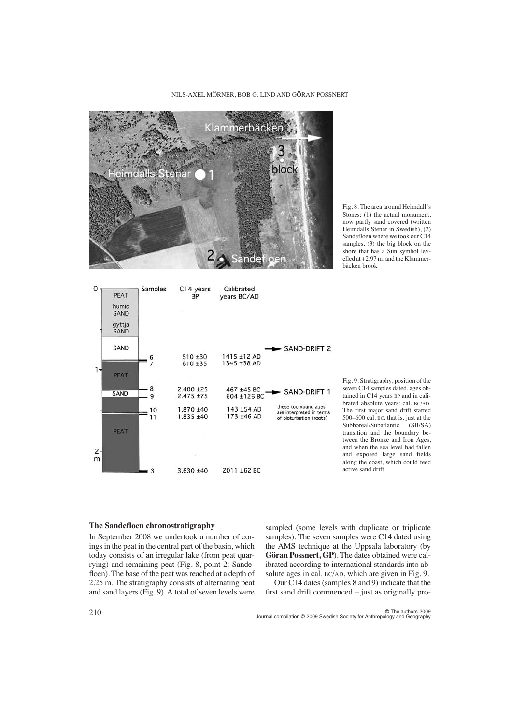

Fig. 8. The area around Heimdall's Stones: (1) the actual monument, now partly sand covered (written Heimdalls Stenar in Swedish), (2) Sandefloen where we took our C14 samples, (3) the big block on the shore that has a Sun symbol levelled at +2.97 m, and the Klammerbäcken brook



Fig. 9. Stratigraphy, position of the seven C14 samples dated, ages obtained in C14 years BP and in calibrated absolute years: cal. BC/AD. The first major sand drift started 500–600 cal. BC, that is, just at the<br>Subboreal/Subatlantic (SB/SA) Subboreal/Subatlantic transition and the boundary between the Bronze and Iron Ages, and when the sea level had fallen and exposed large sand fields along the coast, which could feed active sand drift

#### **The Sandefloen chronostratigraphy**

In September 2008 we undertook a number of corings in the peat in the central part of the basin, which today consists of an irregular lake (from peat quarrying) and remaining peat (Fig. 8, point 2: Sandefloen). The base of the peat was reached at a depth of 2.25 m. The stratigraphy consists of alternating peat and sand layers (Fig. 9). A total of seven levels were

sampled (some levels with duplicate or triplicate samples). The seven samples were C14 dated using the AMS technique at the Uppsala laboratory (by **Göran Possnert, GP**). The dates obtained were calibrated according to international standards into absolute ages in cal. BC/AD, which are given in Fig. 9.

Our C14 dates (samples 8 and 9) indicate that the first sand drift commenced – just as originally pro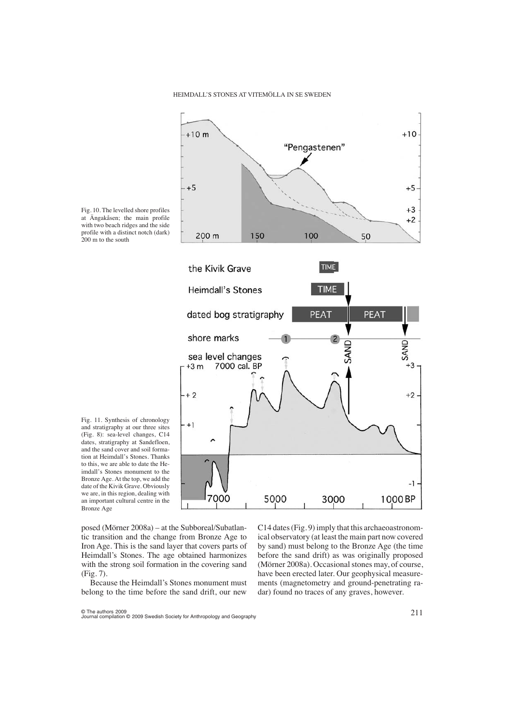the Kivik Grave



**TIME** 

Fig. 10. The levelled shore profiles at Ängakåsen; the main profile with two beach ridges and the side profile with a distinct notch (dark) 200 m to the south

Fig. 11. Synthesis of chronology and stratigraphy at our three sites (Fig. 8): sea-level changes, C14 dates, stratigraphy at Sandefloen, and the sand cover and soil formation at Heimdall's Stones. Thanks to this, we are able to date the Heimdall's Stones monument to the Bronze Age. At the top, we add the date of the Kivik Grave. Obviously we are, in this region, dealing with an important cultural centre in the Bronze Age

**Heimdall's Stones** TIME PEAT PEAT dated bog stratigraphy shore marks SAND SAND sea level changes 7000 cal. BP  $+3m$ +3  $+2$ +2  $- + 1$ -1 7000 5000 3000 1000 BP

posed (Mörner 2008a) – at the Subboreal/Subatlantic transition and the change from Bronze Age to Iron Age. This is the sand layer that covers parts of Heimdall's Stones. The age obtained harmonizes with the strong soil formation in the covering sand (Fig. 7).

Because the Heimdall's Stones monument must belong to the time before the sand drift, our new C14 dates (Fig. 9) imply that this archaeoastronomical observatory (at least the main part now covered by sand) must belong to the Bronze Age (the time before the sand drift) as was originally proposed (Mörner 2008a). Occasional stones may, of course, have been erected later. Our geophysical measurements (magnetometry and ground-penetrating radar) found no traces of any graves, however.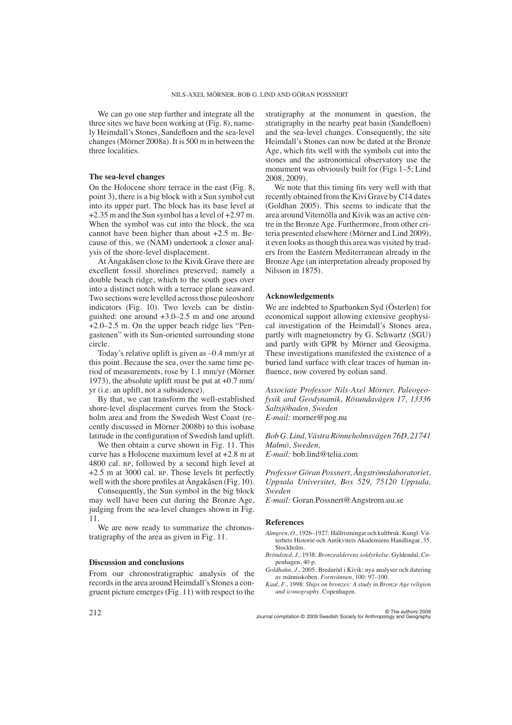We can go one step further and integrate all the three sites we have been working at (Fig. 8), namely Heimdall's Stones, Sandefloen and the sea-level changes (Mörner 2008a). It is 500 m in between the three localities.

# **The sea-level changes**

On the Holocene shore terrace in the east (Fig. 8, point 3), there is a big block with a Sun symbol cut into its upper part. The block has its base level at +2.35 m and the Sun symbol has a level of +2.97 m. When the symbol was cut into the block, the sea cannot have been higher than about +2.5 m. Because of this, we (NAM) undertook a closer analysis of the shore-level displacement.

At Ängakåsen close to the Kivik Grave there are excellent fossil shorelines preserved; namely a double beach ridge, which to the south goes over into a distinct notch with a terrace plane seaward. Two sections were levelled across those paleoshore indicators (Fig. 10). Two levels can be distinguished: one around +3.0–2.5 m and one around +2.0–2.5 m. On the upper beach ridge lies "Pengastenen" with its Sun-oriented surrounding stone circle.

Today's relative uplift is given as –0.4 mm/yr at this point. Because the sea, over the same time period of measurements, rose by 1.1 mm/yr (Mörner 1973), the absolute uplift must be put at +0.7 mm/ yr (i.e. an uplift, not a subsidence).

By that, we can transform the well-established shore-level displacement curves from the Stockholm area and from the Swedish West Coast (recently discussed in Mörner 2008b) to this isobase latitude in the configuration of Swedish land uplift.

We then obtain a curve shown in Fig. 11. This curve has a Holocene maximum level at +2.8 m at 4800 cal. BP, followed by a second high level at +2.5 m at 3000 cal. BP. Those levels fit perfectly well with the shore profiles at Ängakåsen (Fig. 10).

Consequently, the Sun symbol in the big block may well have been cut during the Bronze Age, judging from the sea-level changes shown in Fig. 11.

We are now ready to summarize the chronostratigraphy of the area as given in Fig. 11.

### **Discussion and conclusions**

From our chronostratigraphic analysis of the records in the area around Heimdall's Stones a congruent picture emerges (Fig. 11) with respect to the stratigraphy at the monument in question, the stratigraphy in the nearby peat basin (Sandefloen) and the sea-level changes. Consequently, the site Heimdall's Stones can now be dated at the Bronze Age, which fits well with the symbols cut into the stones and the astronomical observatory use the monument was obviously built for (Figs 1–5; Lind 2008, 2009).

We note that this timing fits very well with that recently obtained from the Kivi Grave by C14 dates (Goldhan 2005). This seems to indicate that the area around Vitemölla and Kivik was an active centre in the Bronze Age. Furthermore, from other criteria presented elsewhere (Mörner and Lind 2009), it even looks as though this area was visited by traders from the Eastern Mediterranean already in the Bronze Age (an interpretation already proposed by Nilsson in 1875).

# **Acknowledgements**

We are indebted to Sparbanken Syd (Österlen) for economical support allowing extensive geophysical investigation of the Heimdall's Stones area, partly with magnetometry by G. Schwartz (SGU) and partly with GPR by Mörner and Geosigma. These investigations manifested the existence of a buried land surface with clear traces of human influence, now covered by eolian sand.

*Associate Professor Nils-Axel Mörner, Paleogeofysik and Geodynamik, Rösundavägen 17, 13336 Saltsjöbaden, Sweden E-mail:* morner@pog.nu

*Bob G. Lind, Västra Rönneholmsvägen 76D, 21741 Malmö, Sweden, E-mail:* bob.lind@telia.com

*Professor Göran Possnert, Ångströmslaboratoriet, Uppsala Universitet, Box 529, 75120 Uppsala, Sweden*

*E-mail:* Goran.Possnert@Angstrom.uu.se

#### **References**

- *Almgren, O.,* 1926–1927: Hällristningar och kultbruk. Kungl. Vitterhets Historie och Antikvitets Akademiens Handlingar, 35, Stockholm.
- *Bröndsted, J.,* 1938: *Bronzealderens soldyrkelse*. Gyldendal, Copenhagen, 40 p.
- *Goldhahn, J.,* 2005: Bredaröd i Kivik: nya analyser och datering av människoben. *Fornvännen,* 100: 97–100.
- *Kaul, F.,* 1998: *Ships on bronzes: A study in Bronze Age religion and iconography*. Copenhagen.